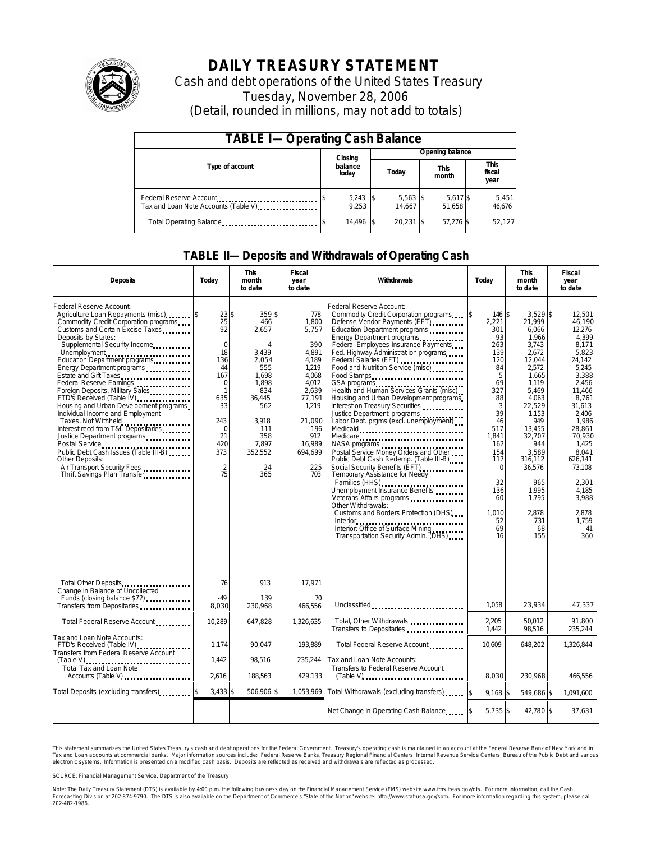

# **DAILY TREASURY STATEMENT**

Cash and debt operations of the United States Treasury Tuesday, November 28, 2006 (Detail, rounded in millions, may not add to totals)

| <b>TABLE I-Operating Cash Balance</b>                            |                  |                     |       |                      |                      |                    |  |                        |  |
|------------------------------------------------------------------|------------------|---------------------|-------|----------------------|----------------------|--------------------|--|------------------------|--|
|                                                                  |                  | Closing             |       | Opening balance      |                      |                    |  |                        |  |
| Type of account                                                  | balance<br>today |                     | Today |                      | <b>This</b><br>month |                    |  | This<br>fiscal<br>year |  |
| Federal Reserve Account<br>Tax and Loan Note Accounts (Table V). |                  | $5,243$ \$<br>9.253 |       | $5,563$ \$<br>14.667 |                      | 5,617 \$<br>51.658 |  | 5,451<br>46,676        |  |
| Total Operating Balance                                          |                  | 14.496 \$           |       | $20.231$ S           |                      | 57,276 \$          |  | 52,127                 |  |

### **TABLE II—Deposits and Withdrawals of Operating Cash**

| <b>Deposits</b>                                                                                                                                                                                                                                                                                                                                                                                                                                                                                                                                                                                                                                                                               | Today                                                                                                                                                                | <b>This</b><br>month<br>to date                                                                                                                              | <b>Fiscal</b><br>year<br>to date                                                                                                                                 | Withdrawals                                                                                                                                                                                                                                                                                                                                                                                                                                                                                                                                                                                                                                                                                                                                                                                                                                                                                                                                            | Today                                                                                                                                                                                                | <b>This</b><br>month<br>to date                                                                                                                                                                                                                          | <b>Fiscal</b><br>year<br>to date                                                                                                                                                                                                                               |
|-----------------------------------------------------------------------------------------------------------------------------------------------------------------------------------------------------------------------------------------------------------------------------------------------------------------------------------------------------------------------------------------------------------------------------------------------------------------------------------------------------------------------------------------------------------------------------------------------------------------------------------------------------------------------------------------------|----------------------------------------------------------------------------------------------------------------------------------------------------------------------|--------------------------------------------------------------------------------------------------------------------------------------------------------------|------------------------------------------------------------------------------------------------------------------------------------------------------------------|--------------------------------------------------------------------------------------------------------------------------------------------------------------------------------------------------------------------------------------------------------------------------------------------------------------------------------------------------------------------------------------------------------------------------------------------------------------------------------------------------------------------------------------------------------------------------------------------------------------------------------------------------------------------------------------------------------------------------------------------------------------------------------------------------------------------------------------------------------------------------------------------------------------------------------------------------------|------------------------------------------------------------------------------------------------------------------------------------------------------------------------------------------------------|----------------------------------------------------------------------------------------------------------------------------------------------------------------------------------------------------------------------------------------------------------|----------------------------------------------------------------------------------------------------------------------------------------------------------------------------------------------------------------------------------------------------------------|
| Federal Reserve Account:<br>Agriculture Loan Repayments (misc)<br>Commodity Credit Corporation programs<br>Customs and Certain Excise Taxes<br>Deposits by States:<br>Supplemental Security Income<br>Education Department programs<br>Energy Department programs<br>Estate and Gift Taxes<br>Federal Reserve Earnings<br>Foreign Deposits, Military Sales<br>FTD's Received (Table IV)<br>Housing and Urban Development programs<br>Individual Income and Employment<br>Taxes, Not Withheld<br>Interest recd from T&L Depositaries<br>Justice Department programs<br>Public Debt Cash Issues (Table III-B)<br>Other Deposits:<br>Air Transport Security Fees<br>Thrift Savings Plan Transfer | 23\$<br>25<br>92<br>$\mathbf 0$<br>18<br>136<br>44<br>167<br>$\Omega$<br>$\mathbf{1}$<br>635<br>33<br>243<br>$\mathbf 0$<br>21<br>420<br>373<br>$\overline{2}$<br>75 | 359\$<br>466<br>2,657<br>$\Delta$<br>3,439<br>2.054<br>555<br>1.698<br>1.898<br>834<br>36.445<br>562<br>3,918<br>111<br>358<br>7,897<br>352,552<br>24<br>365 | 778<br>1,800<br>5,757<br>390<br>4,891<br>4.189<br>1,219<br>4.068<br>4.012<br>2.639<br>77,191<br>1,219<br>21,090<br>196<br>912<br>16.989<br>694,699<br>225<br>703 | Federal Reserve Account:<br>Commodity Credit Corporation programs<br>Defense Vendor Payments (EFT)<br>Education Department programs<br>Energy Department programs<br>Federal Employees Insurance Payments<br>Fed. Highway Administrat ion programs<br>Federal Salaries (EFT)<br>Food and Nutrition Service (misc)<br>Food Stamps<br>GSA programs<br>Health and Human Services Grants (misc)<br>Housing and Urban Development programs<br>Interest on Treasury Securities<br>Justice Department programs<br>Labor Dept. prgms (excl. unemployment)<br>Medicare<br>NASA programs<br>Postal Service Money Orders and Other<br>Public Debt Cash Redemp. (Table III-B)<br>Social Security Benefits (EFT)<br><br>Temporary Assistance for Needy<br>Families (HHS)<br>Unemployment Insurance Benefits<br>Other Withdrawals:<br>Customs and Borders Protection (DHS)<br>Interior<br>Interior: Office of Surface Mining<br>Transportation Security Admin. (DHS) | \$<br>146 S<br>2,221<br>301<br>93<br>263<br>139<br>120<br>84<br>5<br>69<br>327<br>88<br>3<br>39<br>46<br>517<br>1.841<br>162<br>154<br>117<br>$\Omega$<br>32<br>136<br>60<br>1.010<br>52<br>69<br>16 | $3.529$ \$<br>21,999<br>6,066<br>1,966<br>3,743<br>2.672<br>12,044<br>2,572<br>1.665<br>1.119<br>5.469<br>4,063<br>22,529<br>1,153<br>949<br>13,455<br>32,707<br>944<br>3.589<br>316,112<br>36,576<br>965<br>1.995<br>1,795<br>2.878<br>731<br>68<br>155 | 12.501<br>46,190<br>12,276<br>4,399<br>8,171<br>5.823<br>24.142<br>5,245<br>3.388<br>2.456<br>11.466<br>8,761<br>31,613<br>2,406<br>1,986<br>28.861<br>70.930<br>1.425<br>8.041<br>626,141<br>73,108<br>2,301<br>4.185<br>3,988<br>2.878<br>1.759<br>41<br>360 |
| Total Other Deposits<br>Change in Balance of Uncollected                                                                                                                                                                                                                                                                                                                                                                                                                                                                                                                                                                                                                                      | 76                                                                                                                                                                   | 913                                                                                                                                                          | 17,971                                                                                                                                                           |                                                                                                                                                                                                                                                                                                                                                                                                                                                                                                                                                                                                                                                                                                                                                                                                                                                                                                                                                        |                                                                                                                                                                                                      |                                                                                                                                                                                                                                                          |                                                                                                                                                                                                                                                                |
| Funds (closing balance \$72)<br>Transfers from Depositaries                                                                                                                                                                                                                                                                                                                                                                                                                                                                                                                                                                                                                                   | $-49$<br>8,030                                                                                                                                                       | 139<br>230,968                                                                                                                                               | 70<br>466,556                                                                                                                                                    | Unclassified                                                                                                                                                                                                                                                                                                                                                                                                                                                                                                                                                                                                                                                                                                                                                                                                                                                                                                                                           | 1.058                                                                                                                                                                                                | 23,934                                                                                                                                                                                                                                                   | 47,337                                                                                                                                                                                                                                                         |
| Total Federal Reserve Account                                                                                                                                                                                                                                                                                                                                                                                                                                                                                                                                                                                                                                                                 | 10,289                                                                                                                                                               | 647,828                                                                                                                                                      | 1,326,635                                                                                                                                                        | Total, Other Withdrawals<br>Transfers to Depositaries                                                                                                                                                                                                                                                                                                                                                                                                                                                                                                                                                                                                                                                                                                                                                                                                                                                                                                  | 2,205<br>1,442                                                                                                                                                                                       | 50,012<br>98,516                                                                                                                                                                                                                                         | 91,800<br>235,244                                                                                                                                                                                                                                              |
| Tax and Loan Note Accounts:<br>FTD's Received (Table IV)<br>Transfers from Federal Reserve Account                                                                                                                                                                                                                                                                                                                                                                                                                                                                                                                                                                                            | 1.174                                                                                                                                                                | 90,047                                                                                                                                                       | 193.889                                                                                                                                                          | Total Federal Reserve Account                                                                                                                                                                                                                                                                                                                                                                                                                                                                                                                                                                                                                                                                                                                                                                                                                                                                                                                          | 10.609                                                                                                                                                                                               | 648,202                                                                                                                                                                                                                                                  | 1,326,844                                                                                                                                                                                                                                                      |
| $(Table V)$<br>Total Tax and Loan Note<br>Accounts (Table V)                                                                                                                                                                                                                                                                                                                                                                                                                                                                                                                                                                                                                                  | 1.442<br>2,616                                                                                                                                                       | 98.516<br>188,563                                                                                                                                            | 235,244<br>429,133                                                                                                                                               | Tax and Loan Note Accounts:<br>Transfers to Federal Reserve Account                                                                                                                                                                                                                                                                                                                                                                                                                                                                                                                                                                                                                                                                                                                                                                                                                                                                                    | 8,030                                                                                                                                                                                                | 230,968                                                                                                                                                                                                                                                  | 466,556                                                                                                                                                                                                                                                        |
| Total Deposits (excluding transfers)                                                                                                                                                                                                                                                                                                                                                                                                                                                                                                                                                                                                                                                          | $3,433$ \$                                                                                                                                                           | 506,906 \$                                                                                                                                                   | 1,053,969                                                                                                                                                        | Total Withdrawals (excluding transfers)                                                                                                                                                                                                                                                                                                                                                                                                                                                                                                                                                                                                                                                                                                                                                                                                                                                                                                                | $9.168$ \$                                                                                                                                                                                           | 549,686 \$                                                                                                                                                                                                                                               | 1.091.600                                                                                                                                                                                                                                                      |
|                                                                                                                                                                                                                                                                                                                                                                                                                                                                                                                                                                                                                                                                                               |                                                                                                                                                                      |                                                                                                                                                              |                                                                                                                                                                  | Net Change in Operating Cash Balance                                                                                                                                                                                                                                                                                                                                                                                                                                                                                                                                                                                                                                                                                                                                                                                                                                                                                                                   | $-5,735$ \$                                                                                                                                                                                          | $-42,780$ \$                                                                                                                                                                                                                                             | $-37,631$                                                                                                                                                                                                                                                      |

This statement summarizes the United States Treasury's cash and debt operations for the Federal Government. Treasury's operating cash is maintained in an account at the Federal Reserve Bank of New York and in Tax and Loan accounts at commercial banks. Major information sources include: Federal Reserve Banks, Treasury Regional Financial Centers, Internal Revenue Service Centers, Bureau of the Public Debt and various<br>electronic s

SOURCE: Financial Management Service, Department of the Treasury

Note: The Daily Treasury Statement (DTS) is available by 4:00 p.m. the following business day on the Financial Management Service (FMS) website www.fms.treas.gov/dts.<br>Forecasting Division at 202-874-9790. The DTS is also a 'S) is available by 4:00 p.m. the following business day on the Financial Management Service (FMS) website www.fms.treas.gov/dts. For more information, call the Cash<br>The DTS is also available on the Department of Commerce'